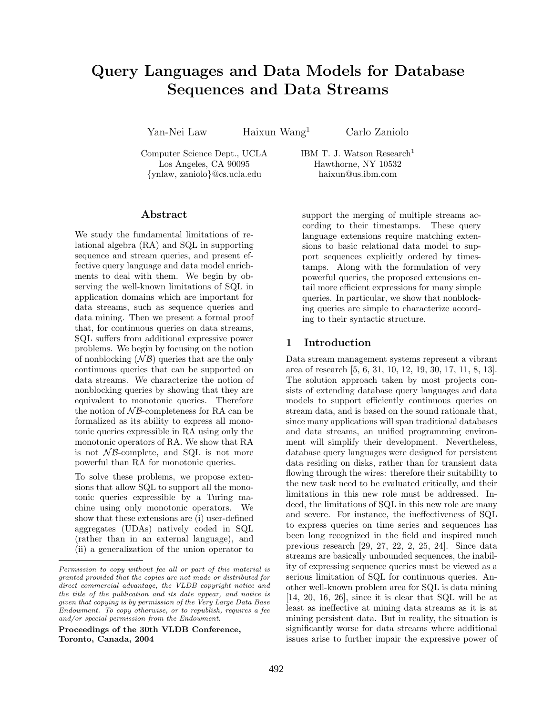# Query Languages and Data Models for Database Sequences and Data Streams

Yan-Nei Law Haixun Wang<sup>1</sup> Carlo Zaniolo

Computer Science Dept., UCLA Los Angeles, CA 90095 {ynlaw, zaniolo}@cs.ucla.edu

IBM T. J. Watson Research<sup>1</sup> Hawthorne, NY 10532 haixun@us.ibm.com

#### Abstract

We study the fundamental limitations of relational algebra (RA) and SQL in supporting sequence and stream queries, and present effective query language and data model enrichments to deal with them. We begin by observing the well-known limitations of SQL in application domains which are important for data streams, such as sequence queries and data mining. Then we present a formal proof that, for continuous queries on data streams, SQL suffers from additional expressive power problems. We begin by focusing on the notion of nonblocking  $(\mathcal{NB})$  queries that are the only continuous queries that can be supported on data streams. We characterize the notion of nonblocking queries by showing that they are equivalent to monotonic queries. Therefore the notion of  $N\beta$ -completeness for RA can be formalized as its ability to express all monotonic queries expressible in RA using only the monotonic operators of RA. We show that RA is not  $N\mathcal{B}$ -complete, and SQL is not more powerful than RA for monotonic queries.

To solve these problems, we propose extensions that allow SQL to support all the monotonic queries expressible by a Turing machine using only monotonic operators. We show that these extensions are (i) user-defined aggregates (UDAs) natively coded in SQL (rather than in an external language), and (ii) a generalization of the union operator to

Proceedings of the 30th VLDB Conference, Toronto, Canada, 2004

support the merging of multiple streams according to their timestamps. These query language extensions require matching extensions to basic relational data model to support sequences explicitly ordered by timestamps. Along with the formulation of very powerful queries, the proposed extensions entail more efficient expressions for many simple queries. In particular, we show that nonblocking queries are simple to characterize according to their syntactic structure.

## 1 Introduction

Data stream management systems represent a vibrant area of research [5, 6, 31, 10, 12, 19, 30, 17, 11, 8, 13]. The solution approach taken by most projects consists of extending database query languages and data models to support efficiently continuous queries on stream data, and is based on the sound rationale that, since many applications will span traditional databases and data streams, an unified programming environment will simplify their development. Nevertheless, database query languages were designed for persistent data residing on disks, rather than for transient data flowing through the wires: therefore their suitability to the new task need to be evaluated critically, and their limitations in this new role must be addressed. Indeed, the limitations of SQL in this new role are many and severe. For instance, the ineffectiveness of SQL to express queries on time series and sequences has been long recognized in the field and inspired much previous research [29, 27, 22, 2, 25, 24]. Since data streams are basically unbounded sequences, the inability of expressing sequence queries must be viewed as a serious limitation of SQL for continuous queries. Another well-known problem area for SQL is data mining [14, 20, 16, 26], since it is clear that SQL will be at least as ineffective at mining data streams as it is at mining persistent data. But in reality, the situation is significantly worse for data streams where additional issues arise to further impair the expressive power of

Permission to copy without fee all or part of this material is granted provided that the copies are not made or distributed for direct commercial advantage, the VLDB copyright notice and the title of the publication and its date appear, and notice is given that copying is by permission of the Very Large Data Base Endowment. To copy otherwise, or to republish, requires a fee and/or special permission from the Endowment.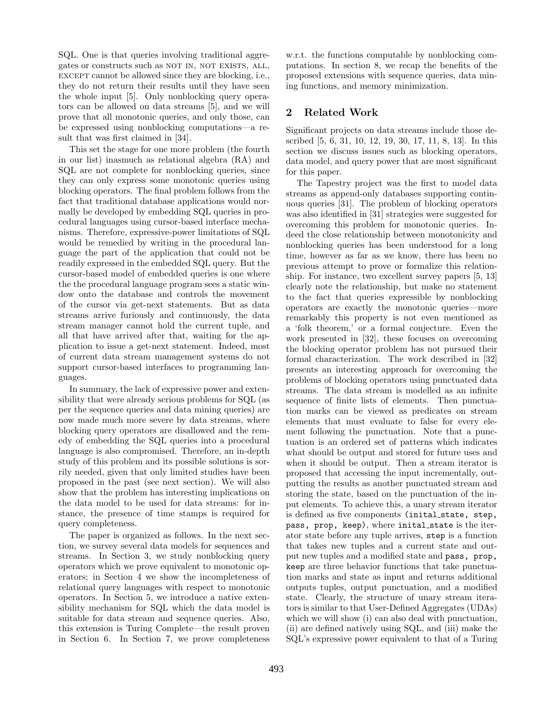SQL. One is that queries involving traditional aggregates or constructs such as NOT IN, NOT EXISTS, ALL, EXCEPT cannot be allowed since they are blocking, i.e., they do not return their results until they have seen the whole input [5]. Only nonblocking query operators can be allowed on data streams [5], and we will prove that all monotonic queries, and only those, can be expressed using nonblocking computations—a result that was first claimed in [34].

This set the stage for one more problem (the fourth in our list) inasmuch as relational algebra (RA) and SQL are not complete for nonblocking queries, since they can only express some monotonic queries using blocking operators. The final problem follows from the fact that traditional database applications would normally be developed by embedding SQL queries in procedural languages using cursor-based interface mechanisms. Therefore, expressive-power limitations of SQL would be remedied by writing in the procedural language the part of the application that could not be readily expressed in the embedded SQL query. But the cursor-based model of embedded queries is one where the the procedural language program sees a static window onto the database and controls the movement of the cursor via get-next statements. But as data streams arrive furiously and continuously, the data stream manager cannot hold the current tuple, and all that have arrived after that, waiting for the application to issue a get-next statement. Indeed, most of current data stream management systems do not support cursor-based interfaces to programming languages.

In summary, the lack of expressive power and extensibility that were already serious problems for SQL (as per the sequence queries and data mining queries) are now made much more severe by data streams, where blocking query operators are disallowed and the remedy of embedding the SQL queries into a procedural language is also compromised. Therefore, an in-depth study of this problem and its possible solutions is sorrily needed, given that only limited studies have been proposed in the past (see next section). We will also show that the problem has interesting implications on the data model to be used for data streams: for instance, the presence of time stamps is required for query completeness.

The paper is organized as follows. In the next section, we survey several data models for sequences and streams. In Section 3, we study nonblocking query operators which we prove equivalent to monotonic operators; in Section 4 we show the incompleteness of relational query languages with respect to monotonic operators. In Section 5, we introduce a native extensibility mechanism for SQL which the data model is suitable for data stream and sequence queries. Also, this extension is Turing Complete—the result proven in Section 6. In Section 7, we prove completeness

w.r.t. the functions computable by nonblocking computations. In section 8, we recap the benefits of the proposed extensions with sequence queries, data mining functions, and memory minimization.

# 2 Related Work

Significant projects on data streams include those described [5, 6, 31, 10, 12, 19, 30, 17, 11, 8, 13]. In this section we discuss issues such as blocking operators, data model, and query power that are most significant for this paper.

The Tapestry project was the first to model data streams as append-only databases supporting continuous queries [31]. The problem of blocking operators was also identified in [31] strategies were suggested for overcoming this problem for monotonic queries. Indeed the close relationship between monotonicity and nonblocking queries has been understood for a long time, however as far as we know, there has been no previous attempt to prove or formalize this relationship. For instance, two excellent survey papers [5, 13] clearly note the relationship, but make no statement to the fact that queries expressible by nonblocking operators are exactly the monotonic queries—more remarkably this property is not even mentioned as a 'folk theorem,' or a formal conjecture. Even the work presented in [32], these focuses on overcoming the blocking operator problem has not pursued their formal characterization. The work described in [32] presents an interesting approach for overcoming the problems of blocking operators using punctuated data streams. The data stream is modelled as an infinite sequence of finite lists of elements. Then punctuation marks can be viewed as predicates on stream elements that must evaluate to false for every element following the punctuation. Note that a punctuation is an ordered set of patterns which indicates what should be output and stored for future uses and when it should be output. Then a stream iterator is proposed that accessing the input incrementally, outputting the results as another punctuated stream and storing the state, based on the punctuation of the input elements. To achieve this, a unary stream iterator is defined as five components (inital state, step, pass, prop, keep), where inital state is the iterator state before any tuple arrives, step is a function that takes new tuples and a current state and output new tuples and a modified state and pass, prop, keep are three behavior functions that take punctuation marks and state as input and returns additional outputs tuples, output punctuation, and a modified state. Clearly, the structure of unary stream iterators is similar to that User-Defined Aggregates (UDAs) which we will show (i) can also deal with punctuation, (ii) are defined natively using SQL, and (iii) make the SQL's expressive power equivalent to that of a Turing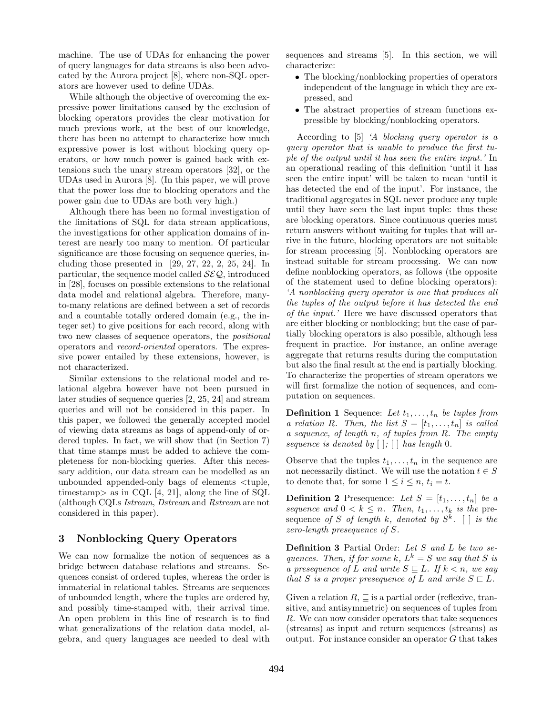machine. The use of UDAs for enhancing the power of query languages for data streams is also been advocated by the Aurora project [8], where non-SQL operators are however used to define UDAs.

While although the objective of overcoming the expressive power limitations caused by the exclusion of blocking operators provides the clear motivation for much previous work, at the best of our knowledge, there has been no attempt to characterize how much expressive power is lost without blocking query operators, or how much power is gained back with extensions such the unary stream operators [32], or the UDAs used in Aurora [8]. (In this paper, we will prove that the power loss due to blocking operators and the power gain due to UDAs are both very high.)

Although there has been no formal investigation of the limitations of SQL for data stream applications, the investigations for other application domains of interest are nearly too many to mention. Of particular significance are those focusing on sequence queries, including those presented in [29, 27, 22, 2, 25, 24]. In particular, the sequence model called  $\mathcal{S}\mathcal{E}\mathcal{Q}$ , introduced in [28], focuses on possible extensions to the relational data model and relational algebra. Therefore, manyto-many relations are defined between a set of records and a countable totally ordered domain (e.g., the integer set) to give positions for each record, along with two new classes of sequence operators, the positional operators and record-oriented operators. The expressive power entailed by these extensions, however, is not characterized.

Similar extensions to the relational model and relational algebra however have not been pursued in later studies of sequence queries [2, 25, 24] and stream queries and will not be considered in this paper. In this paper, we followed the generally accepted model of viewing data streams as bags of append-only of ordered tuples. In fact, we will show that (in Section 7) that time stamps must be added to achieve the completeness for non-blocking queries. After this necessary addition, our data stream can be modelled as an unbounded appended-only bags of elements <tuple, timestamp> as in CQL [4, 21], along the line of SQL (although CQLs Istream, Dstream and Rstream are not considered in this paper).

# 3 Nonblocking Query Operators

We can now formalize the notion of sequences as a bridge between database relations and streams. Sequences consist of ordered tuples, whereas the order is immaterial in relational tables. Streams are sequences of unbounded length, where the tuples are ordered by, and possibly time-stamped with, their arrival time. An open problem in this line of research is to find what generalizations of the relation data model, algebra, and query languages are needed to deal with

sequences and streams [5]. In this section, we will characterize:

- The blocking/nonblocking properties of operators independent of the language in which they are expressed, and
- The abstract properties of stream functions expressible by blocking/nonblocking operators.

According to [5] 'A blocking query operator is a query operator that is unable to produce the first tuple of the output until it has seen the entire input.' In an operational reading of this definition 'until it has seen the entire input' will be taken to mean 'until it has detected the end of the input'. For instance, the traditional aggregates in SQL never produce any tuple until they have seen the last input tuple: thus these are blocking operators. Since continuous queries must return answers without waiting for tuples that will arrive in the future, blocking operators are not suitable for stream processing [5]. Nonblocking operators are instead suitable for stream processing. We can now define nonblocking operators, as follows (the opposite of the statement used to define blocking operators): 'A nonblocking query operator is one that produces all the tuples of the output before it has detected the end of the input.' Here we have discussed operators that are either blocking or nonblocking; but the case of partially blocking operators is also possible, although less frequent in practice. For instance, an online average aggregate that returns results during the computation but also the final result at the end is partially blocking. To characterize the properties of stream operators we will first formalize the notion of sequences, and computation on sequences.

**Definition 1** Sequence: Let  $t_1, \ldots, t_n$  be tuples from a relation R. Then, the list  $S = [t_1, \ldots, t_n]$  is called a sequence, of length n, of tuples from R. The empty sequence is denoted by  $[ \cdot, \cdot ]$  has length 0.

Observe that the tuples  $t_1, \ldots, t_n$  in the sequence are not necessarily distinct. We will use the notation  $t \in S$ to denote that, for some  $1 \leq i \leq n$ ,  $t_i = t$ .

**Definition 2** Presequence: Let  $S = [t_1, \ldots, t_n]$  be a sequence and  $0 < k \leq n$ . Then,  $t_1, \ldots, t_k$  is the presequence of S of length k, denoted by  $S^k$ .  $[ \ ]$  is the zero-length presequence of S.

Definition 3 Partial Order: Let S and L be two sequences. Then, if for some k,  $L^k = S$  we say that S is a presequence of L and write  $S \sqsubseteq L$ . If  $k < n$ , we say that S is a proper presequence of L and write  $S \sqsubset L$ .

Given a relation  $R \subseteq$  is a partial order (reflexive, transitive, and antisymmetric) on sequences of tuples from R. We can now consider operators that take sequences (streams) as input and return sequences (streams) as output. For instance consider an operator  $G$  that takes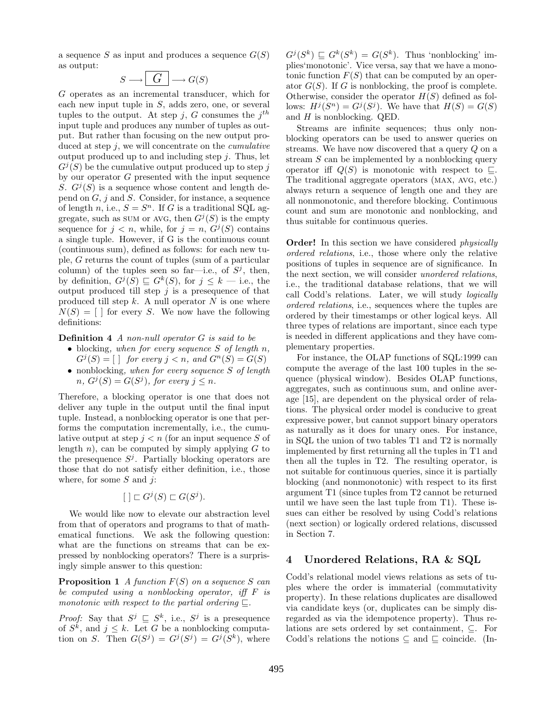a sequence S as input and produces a sequence  $G(S)$ as output:

$$
S \longrightarrow \boxed{G} \longrightarrow G(S)
$$

G operates as an incremental transducer, which for each new input tuple in S, adds zero, one, or several tuples to the output. At step j, G consumes the  $j^{th}$ input tuple and produces any number of tuples as output. But rather than focusing on the new output produced at step  $j$ , we will concentrate on the *cumulative* output produced up to and including step  $j$ . Thus, let  $G^{j}(S)$  be the cumulative output produced up to step j by our operator  $G$  presented with the input sequence S.  $G^{j}(S)$  is a sequence whose content and length depend on  $G$ ,  $j$  and  $S$ . Consider, for instance, a sequence of length n, i.e.,  $S = S^n$ . If G is a traditional SQL aggregate, such as SUM or AVG, then  $G^j(S)$  is the empty sequence for  $j < n$ , while, for  $j = n$ ,  $G^{j}(S)$  contains a single tuple. However, if G is the continuous count (continuous sum), defined as follows: for each new tuple, G returns the count of tuples (sum of a particular column) of the tuples seen so far—i.e., of  $S^j$ , then, by definition,  $G^j(S) \sqsubseteq G^k(S)$ , for  $j \leq k$  — i.e., the output produced till step  $j$  is a presequence of that produced till step  $k$ . A null operator  $N$  is one where  $N(S) = \lceil \cdot \rceil$  for every S. We now have the following definitions:

**Definition 4**  $A$  non-null operator  $G$  is said to be

- blocking, when for every sequence  $S$  of length  $n$ ,  $G^j(S) = [ ]$  for every  $j < n$ , and  $G^n(S) = G(S)$
- nonblocking, when for every sequence S of length  $n, G^{j}(S) = G(S^{j}),$  for every  $j \leq n$ .

Therefore, a blocking operator is one that does not deliver any tuple in the output until the final input tuple. Instead, a nonblocking operator is one that performs the computation incrementally, i.e., the cumulative output at step  $i < n$  (for an input sequence S of length  $n$ ), can be computed by simply applying  $G$  to the presequence  $S^j$ . Partially blocking operators are those that do not satisfy either definition, i.e., those where, for some  $S$  and  $j$ :

$$
[ ] \sqsubset G^j(S) \sqsubset G(S^j).
$$

We would like now to elevate our abstraction level from that of operators and programs to that of mathematical functions. We ask the following question: what are the functions on streams that can be expressed by nonblocking operators? There is a surprisingly simple answer to this question:

**Proposition 1** A function  $F(S)$  on a sequence S can be computed using a nonblocking operator, iff F is monotonic with respect to the partial ordering  $\Box$ .

*Proof:* Say that  $S^j \subseteq S^k$ , i.e.,  $S^j$  is a presequence of  $S^k$ , and  $j \leq k$ . Let G be a nonblocking computation on S. Then  $G(S^j) = G^j(S^j) = G^j(S^k)$ , where

 $G^{j}(S^{k}) \sqsubseteq G^{k}(S^{k}) = G(S^{k})$ . Thus 'nonblocking' implies'monotonic'. Vice versa, say that we have a monotonic function  $F(S)$  that can be computed by an operator  $G(S)$ . If G is nonblocking, the proof is complete. Otherwise, consider the operator  $H(S)$  defined as follows:  $H^j(S^n) = G^j(S^j)$ . We have that  $H(S) = G(S)$ and  $H$  is nonblocking. QED.

Streams are infinite sequences; thus only nonblocking operators can be used to answer queries on streams. We have now discovered that a query Q on a stream S can be implemented by a nonblocking query operator iff  $Q(S)$  is monotonic with respect to  $\Box$ . The traditional aggregate operators (max, avg, etc.) always return a sequence of length one and they are all nonmonotonic, and therefore blocking. Continuous count and sum are monotonic and nonblocking, and thus suitable for continuous queries.

**Order!** In this section we have considered *physically* ordered relations, i.e., those where only the relative positions of tuples in sequence are of significance. In the next section, we will consider unordered relations, i.e., the traditional database relations, that we will call Codd's relations. Later, we will study logically ordered relations, i.e., sequences where the tuples are ordered by their timestamps or other logical keys. All three types of relations are important, since each type is needed in different applications and they have complementary properties.

For instance, the OLAP functions of SQL:1999 can compute the average of the last 100 tuples in the sequence (physical window). Besides OLAP functions, aggregates, such as continuous sum, and online average [15], are dependent on the physical order of relations. The physical order model is conducive to great expressive power, but cannot support binary operators as naturally as it does for unary ones. For instance, in SQL the union of two tables T1 and T2 is normally implemented by first returning all the tuples in T1 and then all the tuples in T2. The resulting operator, is not suitable for continuous queries, since it is partially blocking (and nonmonotonic) with respect to its first argument T1 (since tuples from T2 cannot be returned until we have seen the last tuple from T1). These issues can either be resolved by using Codd's relations (next section) or logically ordered relations, discussed in Section 7.

## 4 Unordered Relations, RA & SQL

Codd's relational model views relations as sets of tuples where the order is immaterial (commutativity property). In these relations duplicates are disallowed via candidate keys (or, duplicates can be simply disregarded as via the idempotence property). Thus relations are sets ordered by set containment, ⊆. For Codd's relations the notions  $\subseteq$  and  $\sqsubseteq$  coincide. (In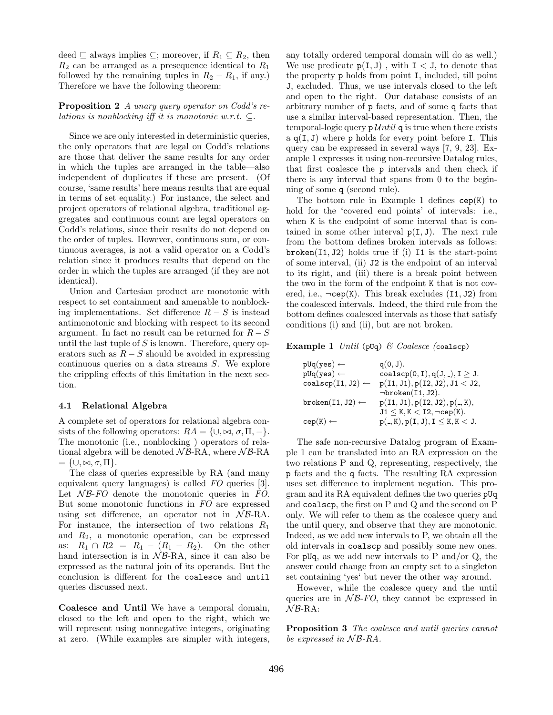deed  $\subseteq$  always implies  $\subseteq$ ; moreover, if  $R_1 \subseteq R_2$ , then  $R_2$  can be arranged as a presequence identical to  $R_1$ followed by the remaining tuples in  $R_2 - R_1$ , if any.) Therefore we have the following theorem:

#### **Proposition 2** A unary query operator on Codd's relations is nonblocking iff it is monotonic w.r.t.  $\subset$ .

Since we are only interested in deterministic queries, the only operators that are legal on Codd's relations are those that deliver the same results for any order in which the tuples are arranged in the table—also independent of duplicates if these are present. (Of course, 'same results' here means results that are equal in terms of set equality.) For instance, the select and project operators of relational algebra, traditional aggregates and continuous count are legal operators on Codd's relations, since their results do not depend on the order of tuples. However, continuous sum, or continuous averages, is not a valid operator on a Codd's relation since it produces results that depend on the order in which the tuples are arranged (if they are not identical).

Union and Cartesian product are monotonic with respect to set containment and amenable to nonblocking implementations. Set difference  $R - S$  is instead antimonotonic and blocking with respect to its second argument. In fact no result can be returned for  $R-S$ until the last tuple of  $S$  is known. Therefore, query operators such as  $R-S$  should be avoided in expressing continuous queries on a data streams S. We explore the crippling effects of this limitation in the next section.

#### 4.1 Relational Algebra

A complete set of operators for relational algebra consists of the following operators:  $RA = \{\cup, \bowtie, \sigma, \Pi, -\}.$ The monotonic (i.e., nonblocking ) operators of relational algebra will be denoted  $N\mathcal{B}$ -RA, where  $N\mathcal{B}$ -RA  $= \{\cup, \bowtie, \sigma, \Pi\}.$ 

The class of queries expressible by RA (and many equivalent query languages) is called  $FO$  queries [3]. Let  $N\beta$ -FO denote the monotonic queries in FO. But some monotonic functions in FO are expressed using set difference, an operator not in  $N\mathcal{B}$ -RA. For instance, the intersection of two relations  $R_1$ and  $R_2$ , a monotonic operation, can be expressed as:  $R_1 \cap R_2 = R_1 - (R_1 - R_2)$ . On the other hand intersection is in  $N\beta$ -RA, since it can also be expressed as the natural join of its operands. But the conclusion is different for the coalesce and until queries discussed next.

Coalesce and Until We have a temporal domain, closed to the left and open to the right, which we will represent using nonnegative integers, originating at zero. (While examples are simpler with integers, any totally ordered temporal domain will do as well.) We use predicate  $p(I, J)$ , with  $I < J$ , to denote that the property p holds from point I, included, till point J, excluded. Thus, we use intervals closed to the left and open to the right. Our database consists of an arbitrary number of p facts, and of some q facts that use a similar interval-based representation. Then, the temporal-logic query  $\mathfrak{p}$  Until q is true when there exists a  $q(I, J)$  where p holds for every point before I. This query can be expressed in several ways [7, 9, 23]. Example 1 expresses it using non-recursive Datalog rules, that first coalesce the p intervals and then check if there is any interval that spans from 0 to the beginning of some q (second rule).

The bottom rule in Example 1 defines  $\mathsf{cep}(K)$  to hold for the 'covered end points' of intervals: i.e., when K is the endpoint of some interval that is contained in some other interval  $p(I, J)$ . The next rule from the bottom defines broken intervals as follows:  $broken(11, J2) holds true if (i) I1 is the start-point$ of some interval, (ii) J2 is the endpoint of an interval to its right, and (iii) there is a break point between the two in the form of the endpoint K that is not covered, i.e.,  $\neg \mathsf{cep}(K)$ . This break excludes (11, J2) from the coalesced intervals. Indeed, the third rule from the bottom defines coalesced intervals as those that satisfy conditions (i) and (ii), but are not broken.

Example 1 Until (pUq) & Coalesce (coalscp)

| $pUq(yes) \leftarrow$                 | $q(0, J)$ .                             |
|---------------------------------------|-----------------------------------------|
| $pUq(yes) \leftarrow$                 | coalscp $(0, I), q(J, .), I \geq J.$    |
| $\texttt{coalscp}(I1, J2) \leftarrow$ | p(11, J1), p(12, J2), J1 < J2,          |
|                                       | $\neg$ broken $(11, J2)$ .              |
| $broken(11, J2) \leftarrow$           | p(11, J1), p(12, J2), p(., K),          |
|                                       | $J1 \le K, K < I2, \neg \text{cep}(K).$ |
| $cep(K) \leftarrow$                   | $p(., K), p(I, J), I \leq K, K < J.$    |

The safe non-recursive Datalog program of Example 1 can be translated into an RA expression on the two relations P and Q, representing, respectively, the p facts and the q facts. The resulting RA expression uses set difference to implement negation. This program and its RA equivalent defines the two queries pUq and coalscp, the first on P and Q and the second on P only. We will refer to them as the coalesce query and the until query, and observe that they are monotonic. Indeed, as we add new intervals to P, we obtain all the old intervals in coalscp and possibly some new ones. For  $pUq$ , as we add new intervals to P and/or Q, the answer could change from an empty set to a singleton set containing 'yes' but never the other way around.

However, while the coalesce query and the until queries are in  $N\mathcal{B}-F\mathcal{O}$ , they cannot be expressed in  $N\mathcal{B}$ -RA:

**Proposition 3** The coalesce and until queries cannot be expressed in  $N\mathcal{B}$ -RA.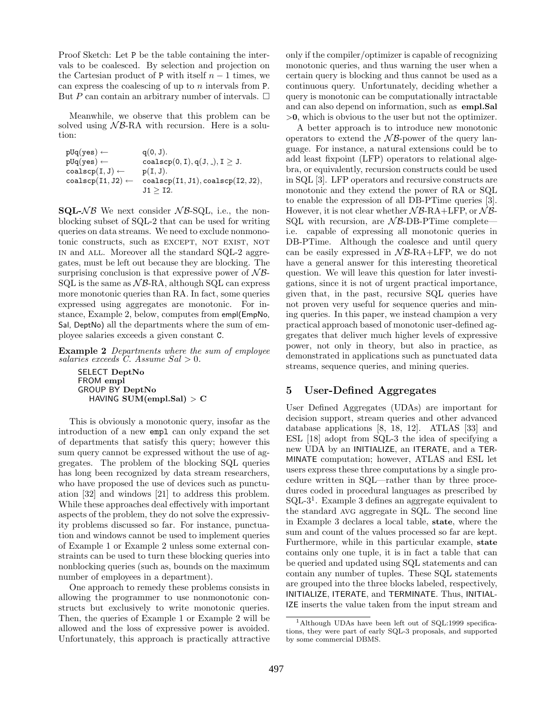Proof Sketch: Let P be the table containing the intervals to be coalesced. By selection and projection on the Cartesian product of P with itself  $n-1$  times, we can express the coalescing of up to n intervals from P. But P can contain an arbitrary number of intervals.  $\Box$ 

Meanwhile, we observe that this problem can be solved using  $N\beta$ -RA with recursion. Here is a solution:

 $pUq(yes) \leftarrow$  q(0, J).  $pUq(yes) \leftarrow$  coalscp $(0, I), q(J, ...)$ ,  $I \geq J$ .  $\mathrm{coalscp}(I,J) \leftarrow \mathrm{p}(I,J).$  $\text{coalscp}(I1, J2) \leftarrow \text{coalscp}(I1, J1), \text{coalscp}(I2, J2),$  $J1 > I2$ .

**SQL-** $N\beta$  We next consider  $N\beta$ -SQL, i.e., the nonblocking subset of SQL-2 that can be used for writing queries on data streams. We need to exclude nonmonotonic constructs, such as EXCEPT, NOT EXIST, NOT in and all. Moreover all the standard SQL-2 aggregates, must be left out because they are blocking. The surprising conclusion is that expressive power of  $N\beta$ - $SQL$  is the same as  $N\mathcal{B}-RA$ , although  $SQL$  can express more monotonic queries than RA. In fact, some queries expressed using aggregates are monotonic. For instance, Example 2, below, computes from empl(EmpNo, Sal, DeptNo) all the departments where the sum of employee salaries exceeds a given constant C.

Example 2 Departments where the sum of employee salaries exceeds  $C.$  Assume  $Sal > 0.$ 

SELECT DeptNo FROM empl GROUP BY DeptNo HAVING  $SUM(empLSal) > C$ 

This is obviously a monotonic query, insofar as the introduction of a new empl can only expand the set of departments that satisfy this query; however this sum query cannot be expressed without the use of aggregates. The problem of the blocking SQL queries has long been recognized by data stream researchers, who have proposed the use of devices such as punctuation [32] and windows [21] to address this problem. While these approaches deal effectively with important aspects of the problem, they do not solve the expressivity problems discussed so far. For instance, punctuation and windows cannot be used to implement queries of Example 1 or Example 2 unless some external constraints can be used to turn these blocking queries into nonblocking queries (such as, bounds on the maximum number of employees in a department).

One approach to remedy these problems consists in allowing the programmer to use nonmonotonic constructs but exclusively to write monotonic queries. Then, the queries of Example 1 or Example 2 will be allowed and the loss of expressive power is avoided. Unfortunately, this approach is practically attractive

only if the compiler/optimizer is capable of recognizing monotonic queries, and thus warning the user when a certain query is blocking and thus cannot be used as a continuous query. Unfortunately, deciding whether a query is monotonic can be computationally intractable and can also depend on information, such as empl.Sal >0, which is obvious to the user but not the optimizer.

A better approach is to introduce new monotonic operators to extend the  $N\mathcal{B}$ -power of the query language. For instance, a natural extensions could be to add least fixpoint (LFP) operators to relational algebra, or equivalently, recursion constructs could be used in SQL [3]. LFP operators and recursive constructs are monotonic and they extend the power of RA or SQL to enable the expression of all DB-PTime queries [3]. However, it is not clear whether  $N\mathcal{B}\text{-RA+LFP}$ , or  $N\mathcal{B}\text{-}$ SQL with recursion, are  $N\beta$ -DB-PTime complete i.e. capable of expressing all monotonic queries in DB-PTime. Although the coalesce and until query can be easily expressed in  $N\mathcal{B}-RA+LFP$ , we do not have a general answer for this interesting theoretical question. We will leave this question for later investigations, since it is not of urgent practical importance, given that, in the past, recursive SQL queries have not proven very useful for sequence queries and mining queries. In this paper, we instead champion a very practical approach based of monotonic user-defined aggregates that deliver much higher levels of expressive power, not only in theory, but also in practice, as demonstrated in applications such as punctuated data streams, sequence queries, and mining queries.

## 5 User-Defined Aggregates

User Defined Aggregates (UDAs) are important for decision support, stream queries and other advanced database applications [8, 18, 12]. ATLAS [33] and ESL [18] adopt from SQL-3 the idea of specifying a new UDA by an INITIALIZE, an ITERATE, and a TER-MINATE computation; however, ATLAS and ESL let users express these three computations by a single procedure written in SQL—rather than by three procedures coded in procedural languages as prescribed by SQL-3<sup>1</sup> . Example 3 defines an aggregate equivalent to the standard avg aggregate in SQL. The second line in Example 3 declares a local table, state, where the sum and count of the values processed so far are kept. Furthermore, while in this particular example, state contains only one tuple, it is in fact a table that can be queried and updated using SQL statements and can contain any number of tuples. These SQL statements are grouped into the three blocks labeled, respectively, INITIALIZE, ITERATE, and TERMINATE. Thus, INITIAL-IZE inserts the value taken from the input stream and

<sup>1</sup>Although UDAs have been left out of SQL:1999 specifications, they were part of early SQL-3 proposals, and supported by some commercial DBMS.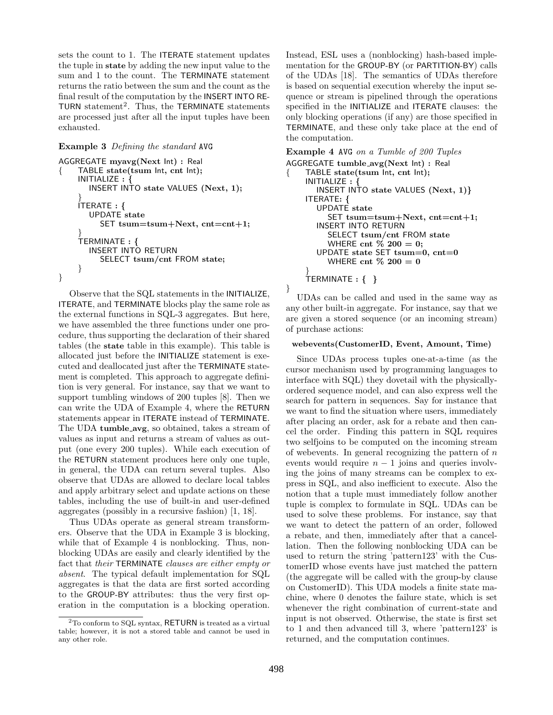sets the count to 1. The ITERATE statement updates the tuple in state by adding the new input value to the sum and 1 to the count. The TERMINATE statement returns the ratio between the sum and the count as the final result of the computation by the INSERT INTO RE-TURN statement<sup>2</sup>. Thus, the TERMINATE statements are processed just after all the input tuples have been exhausted.

#### Example 3 Defining the standard AVG

```
AGGREGATE myavg(Next Int) : Real
{ TABLE state(tsum Int, cnt Int);
    INITIALIZE : {
      INSERT INTO state VALUES (Next, 1);
    }
    ITERATE : {
      UPDATE state
         SET tsum=tsum+Next, cnt=cnt+1;
    }
    TERMINATE : {
      INSERT INTO RETURN
         SELECT tsum/cnt FROM state;
    }
}
```
Observe that the SQL statements in the INITIALIZE, ITERATE, and TERMINATE blocks play the same role as the external functions in SQL-3 aggregates. But here, we have assembled the three functions under one procedure, thus supporting the declaration of their shared tables (the state table in this example). This table is allocated just before the INITIALIZE statement is executed and deallocated just after the TERMINATE statement is completed. This approach to aggregate definition is very general. For instance, say that we want to support tumbling windows of 200 tuples [8]. Then we can write the UDA of Example 4, where the RETURN statements appear in ITERATE instead of TERMINATE. The UDA **tumble avg**, so obtained, takes a stream of values as input and returns a stream of values as output (one every 200 tuples). While each execution of the RETURN statement produces here only one tuple, in general, the UDA can return several tuples. Also observe that UDAs are allowed to declare local tables and apply arbitrary select and update actions on these tables, including the use of built-in and user-defined aggregates (possibly in a recursive fashion) [1, 18].

Thus UDAs operate as general stream transformers. Observe that the UDA in Example 3 is blocking, while that of Example 4 is nonblocking. Thus, nonblocking UDAs are easily and clearly identified by the fact that *their* TERMINATE *clauses* are *either empty or* absent. The typical default implementation for SQL aggregates is that the data are first sorted according to the GROUP-BY attributes: thus the very first operation in the computation is a blocking operation.

Instead, ESL uses a (nonblocking) hash-based implementation for the GROUP-BY (or PARTITION-BY) calls of the UDAs [18]. The semantics of UDAs therefore is based on sequential execution whereby the input sequence or stream is pipelined through the operations specified in the INITIALIZE and ITERATE clauses: the only blocking operations (if any) are those specified in TERMINATE, and these only take place at the end of the computation.

```
Example 4 AVG on a Tumble of 200 Tuples
AGGREGATE tumble avg(Next Int) : Real
    { TABLE state(tsum Int, cnt Int);
    INITIALIZE :INSERT INTO state VALUES (Next, 1)}
    ITERATE: {
       UPDATE state
         SET tsum=tsum+Next, cnt=cnt+1;
       INSERT INTO RETURN
         SELECT tsum/cnt FROM state
         WHERE cnt \% 200 = 0;
       UPDATE state SET tsum=0, cnt=0WHERE cnt \% 200 = 0
    }
    TERMINATE : { }
}
```
UDAs can be called and used in the same way as any other built-in aggregate. For instance, say that we are given a stored sequence (or an incoming stream) of purchase actions:

#### webevents(CustomerID, Event, Amount, Time)

Since UDAs process tuples one-at-a-time (as the cursor mechanism used by programming languages to interface with SQL) they dovetail with the physicallyordered sequence model, and can also express well the search for pattern in sequences. Say for instance that we want to find the situation where users, immediately after placing an order, ask for a rebate and then cancel the order. Finding this pattern in SQL requires two selfjoins to be computed on the incoming stream of webevents. In general recognizing the pattern of  $n$ events would require  $n - 1$  joins and queries involving the joins of many streams can be complex to express in SQL, and also inefficient to execute. Also the notion that a tuple must immediately follow another tuple is complex to formulate in SQL. UDAs can be used to solve these problems. For instance, say that we want to detect the pattern of an order, followed a rebate, and then, immediately after that a cancellation. Then the following nonblocking UDA can be used to return the string 'pattern123' with the CustomerID whose events have just matched the pattern (the aggregate will be called with the group-by clause on CustomerID). This UDA models a finite state machine, where 0 denotes the failure state, which is set whenever the right combination of current-state and input is not observed. Otherwise, the state is first set to 1 and then advanced till 3, where 'pattern123' is returned, and the computation continues.

 $^2\mathrm{To}$  conform to SQL syntax, <code>RETURN</code> is treated as a virtual table; however, it is not a stored table and cannot be used in any other role.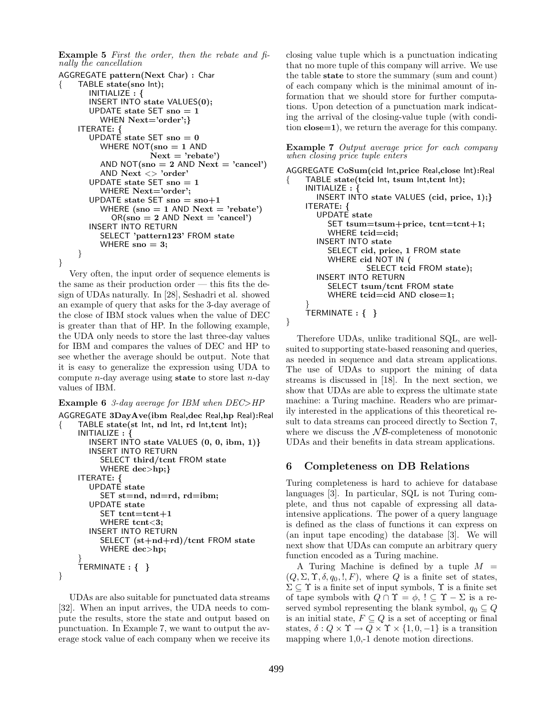Example 5 First the order, then the rebate and finally the cancellation

```
AGGREGATE pattern(Next Char) : Char
    { TABLE state(sno Int);
       INITIALIZE : {
       INSERT INTO state VALUES(0);
       UPDATE state SET sno = 1WHEN Next='order';}
    ITERATE: {
       UPDATE state SET sno = 0WHERE NOT(\text{sno} = 1 \text{ AND})Next = 'rebate')AND NOT(sno = 2 AND Next = 'cancel')
         AND Next <> 'order'
       UPDATE state SET sno = 1WHERE Next='order';
       UPDATE state SET sno = sno+1WHERE (sno = 1 AND Next = 'rebate')
            OR(\text{sno} = 2 \text{ AND Next} = 'cancel')INSERT INTO RETURN
         SELECT 'pattern123' FROM state
         WHERE \text{sno} = 3;
    }
}
```
Very often, the input order of sequence elements is the same as their production order — this fits the design of UDAs naturally. In [28], Seshadri et al. showed an example of query that asks for the 3-day average of the close of IBM stock values when the value of DEC is greater than that of HP. In the following example, the UDA only needs to store the last three-day values for IBM and compares the values of DEC and HP to see whether the average should be output. Note that it is easy to generalize the expression using UDA to compute  $n$ -day average using state to store last  $n$ -day values of IBM.

Example 6 3-day average for IBM when DEC>HP

```
AGGREGATE 3DayAve(ibm Real,dec Real,hp Real):Real
    { TABLE state(st Int, nd Int, rd Int,tcnt Int);
    INITIALIZE : {
      INSERT INTO state VALUES (0, 0, \text{ibm}, 1)INSERT INTO RETURN
         SELECT third/tcnt FROM state
         WHERE dec>hp;}
    ITERATE: {
      UPDATE state
         SET st=nd, nd=rd, rd=ibm;
      UPDATE state
         SET tcnt=tcnt+1
         WHERE tcnt<3;
      INSERT INTO RETURN
         SELECT (st+nd+rd)/tcnt FROM state
         WHERE dec>hp;
    }
    TERMINATE : { }
}
```
UDAs are also suitable for punctuated data streams [32]. When an input arrives, the UDA needs to compute the results, store the state and output based on punctuation. In Example 7, we want to output the average stock value of each company when we receive its closing value tuple which is a punctuation indicating that no more tuple of this company will arrive. We use the table state to store the summary (sum and count) of each company which is the minimal amount of information that we should store for further computations. Upon detection of a punctuation mark indicating the arrival of the closing-value tuple (with condition close=1), we return the average for this company.

Example 7 Output average price for each company when closing price tuple enters

```
AGGREGATE CoSum(cid Int,price Real,close Int):Real
    { TABLE state(tcid Int, tsum Int,tcnt Int);
    INITIALIZE : {
       INSERT INTO state VALUES (cid, price, 1);}
    ITERATE: {
       UPDATE state
          SET tsum=tsum+price, tcnt=tcnt+1;
          WHERE tcid=cid;
       INSERT INTO state
          SELECT cid, price, 1 FROM state
          WHERE cid NOT IN (
                   SELECT tcid FROM state);
       INSERT INTO RETURN
         SELECT tsum/tcnt FROM state
         WHERE tcid=cid AND close=1;
    }
    TERMINATE : { }
}
```
Therefore UDAs, unlike traditional SQL, are wellsuited to supporting state-based reasoning and queries, as needed in sequence and data stream applications. The use of UDAs to support the mining of data streams is discussed in [18]. In the next section, we show that UDAs are able to express the ultimate state machine: a Turing machine. Readers who are primarily interested in the applications of this theoretical result to data streams can proceed directly to Section 7, where we discuss the  $N\beta$ -completeness of monotonic UDAs and their benefits in data stream applications.

## 6 Completeness on DB Relations

Turing completeness is hard to achieve for database languages [3]. In particular, SQL is not Turing complete, and thus not capable of expressing all dataintensive applications. The power of a query language is defined as the class of functions it can express on (an input tape encoding) the database [3]. We will next show that UDAs can compute an arbitrary query function encoded as a Turing machine.

A Turing Machine is defined by a tuple  $M =$  $(Q, \Sigma, \Upsilon, \delta, q_0, \cdot, F)$ , where Q is a finite set of states,  $\Sigma \subseteq \Upsilon$  is a finite set of input symbols,  $\Upsilon$  is a finite set of tape symbols with  $Q \cap \Upsilon = \phi$ ,  $\vdash \subset \Upsilon - \Sigma$  is a reserved symbol representing the blank symbol,  $q_0 \subseteq Q$ is an initial state,  $F \subseteq Q$  is a set of accepting or final states,  $\delta: Q \times \Upsilon \to Q \times \Upsilon \times \{1, 0, -1\}$  is a transition mapping where 1,0,-1 denote motion directions.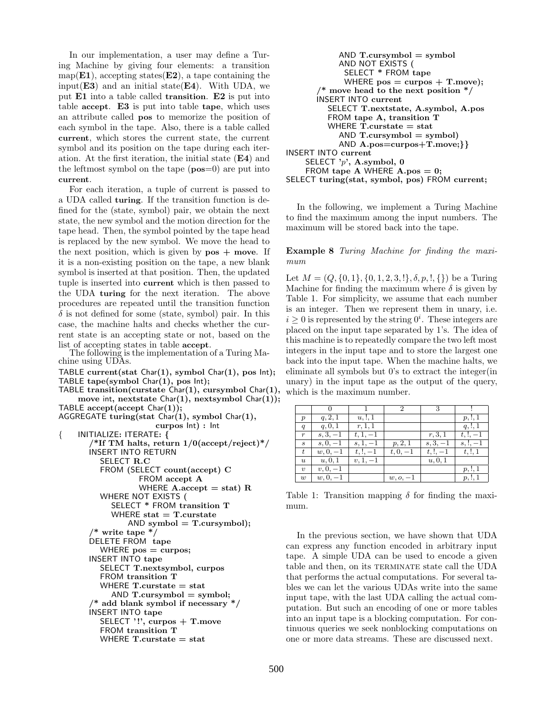In our implementation, a user may define a Turing Machine by giving four elements: a transition  $map(E1)$ , accepting states $(E2)$ , a tape containing the  $input(E3)$  and an initial state( $E4$ ). With UDA, we put E1 into a table called transition. E2 is put into table accept. E3 is put into table tape, which uses an attribute called pos to memorize the position of each symbol in the tape. Also, there is a table called current, which stores the current state, the current symbol and its position on the tape during each iteration. At the first iteration, the initial state (E4) and the leftmost symbol on the tape  $(pos=0)$  are put into current.

For each iteration, a tuple of current is passed to a UDA called turing. If the transition function is defined for the (state, symbol) pair, we obtain the next state, the new symbol and the motion direction for the tape head. Then, the symbol pointed by the tape head is replaced by the new symbol. We move the head to the next position, which is given by  $pos + move$ . If it is a non-existing position on the tape, a new blank symbol is inserted at that position. Then, the updated tuple is inserted into current which is then passed to the UDA turing for the next iteration. The above procedures are repeated until the transition function  $\delta$  is not defined for some (state, symbol) pair. In this case, the machine halts and checks whether the current state is an accepting state or not, based on the list of accepting states in table accept.

The following is the implementation of a Turing Machine using UDAs.

TABLE current(stat Char(1), symbol Char(1), pos Int); TABLE tape(symbol Char(1), pos Int); TABLE transition(curstate Char(1), cursymbol Char(1), move int, nextstate  $Char(1)$ , nextsymbol  $Char(1)$ ;

```
TABLE accept(accept Char(1));
```

```
AGGREGATE turing(stat Char(1), symbol Char(1),
                      curpos Int) : Int
{ INITIALIZE: ITERATE: {
       /*If TM halts, return 1/0(accept/reject)*/
      INSERT INTO RETURN
         SELECT R.C
         FROM (SELECT count(accept) C
                  FROM accept A
                  WHERE A.accept = stat) R
         WHERE NOT EXISTS (
           SELECT * FROM transition T
           WHERE stat = T.curstateAND symbol = T.cursymbol);'* write tape *
       DELETE FROM tape
         WHERE pos = cupos;INSERT INTO tape
         SELECT T.nextsymbol, curpos
         FROM transition T
         WHERE T.curstate = stat
            AND T.cursymbol = symbol;
       /* add blank symbol if necessary */
      INSERT INTO tape
         SELECT '!', curpos + T.move
         FROM transition T
         WHERE T{\text .curstate} = {\text .stat}
```

```
AND T.cursymbol = symbol
            AND NOT EXISTS (
             SELECT * FROM tape
             WHERE pos = cupos + T.move);/* move head to the next position */
       INSERT INTO current
         SELECT T.nextstate, A.symbol, A.pos
         FROM tape A, transition T
         WHERE T.curstate = stat
            AND T.cursymbol = symbol)
            AND A.pos = \text{curpos} + T.move; \}INSERT INTO current
    SELECT \gamma p<sup>'</sup>, A.symbol, 0
    FROM tape A WHERE A.pos = 0;
SELECT turing(stat, symbol, pos) FROM current;
```
In the following, we implement a Turing Machine to find the maximum among the input numbers. The maximum will be stored back into the tape.

Example 8 Turing Machine for finding the maxi $mum$ 

Let  $M = (Q, \{0, 1\}, \{0, 1, 2, 3, 1\}, \delta, p, 1, \{\})$  be a Turing Machine for finding the maximum where  $\delta$  is given by Table 1. For simplicity, we assume that each number is an integer. Then we represent them in unary, i.e.  $i \geq 0$  is represented by the string  $0^i$ . These integers are placed on the input tape separated by 1's. The idea of this machine is to repeatedly compare the two left most integers in the input tape and to store the largest one back into the input tape. When the machine halts, we eliminate all symbols but 0's to extract the integer(in unary) in the input tape as the output of the query, which is the maximum number.

|                  |            |            | $\mathcal{D}_{\mathcal{L}}$ |              |              |
|------------------|------------|------------|-----------------------------|--------------|--------------|
| $\boldsymbol{p}$ | q, 2, 1    | $u,$ !, 1  |                             |              | p, !, 1      |
| q                | q, 0, 1    | r, 1, 1    |                             |              | q, !, 1      |
| $\boldsymbol{r}$ | $s, 3, -1$ | $t, 1, -1$ |                             | r, 3, 1      | $t,$ !, $-1$ |
| $\boldsymbol{s}$ | $s, 0, -1$ | $s, 1, -1$ | p, 2, 1                     | $s, 3, -1$   | $s, !, -1$   |
| t                | $w, 0, -1$ | $t, !, -1$ | $t, 0, -1$                  | $t,$ !, $-1$ | $t,$ !, 1    |
| $\boldsymbol{u}$ | u, 0, 1    | $v, 1, -1$ |                             | u, 0, 1      |              |
| $\boldsymbol{v}$ | $v, 0, -1$ |            |                             |              | p, !, 1      |
| w                | $w, 0, -1$ |            | $w, o, -1$                  |              | p, !, 1      |

Table 1: Transition mapping  $\delta$  for finding the maximum.

In the previous section, we have shown that UDA can express any function encoded in arbitrary input tape. A simple UDA can be used to encode a given table and then, on its TERMINATE state call the UDA that performs the actual computations. For several tables we can let the various UDAs write into the same input tape, with the last UDA calling the actual computation. But such an encoding of one or more tables into an input tape is a blocking computation. For continuous queries we seek nonblocking computations on one or more data streams. These are discussed next.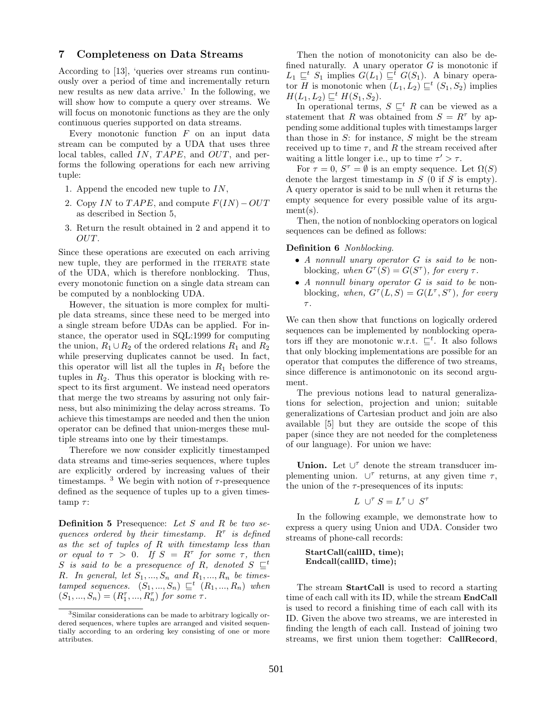#### 7 Completeness on Data Streams

According to [13], 'queries over streams run continuously over a period of time and incrementally return new results as new data arrive.' In the following, we will show how to compute a query over streams. We will focus on monotonic functions as they are the only continuous queries supported on data streams.

Every monotonic function  $F$  on an input data stream can be computed by a UDA that uses three local tables, called  $IN$ ,  $TAPE$ , and  $OUT$ , and performs the following operations for each new arriving tuple:

- 1. Append the encoded new tuple to  $IN$ ,
- 2. Copy IN to TAPE, and compute  $F(1N) OUT$ as described in Section 5,
- 3. Return the result obtained in 2 and append it to OUT.

Since these operations are executed on each arriving new tuple, they are performed in the ITERATE state of the UDA, which is therefore nonblocking. Thus, every monotonic function on a single data stream can be computed by a nonblocking UDA.

However, the situation is more complex for multiple data streams, since these need to be merged into a single stream before UDAs can be applied. For instance, the operator used in SQL:1999 for computing the union,  $R_1 \cup R_2$  of the ordered relations  $R_1$  and  $R_2$ while preserving duplicates cannot be used. In fact, this operator will list all the tuples in  $R_1$  before the tuples in  $R_2$ . Thus this operator is blocking with respect to its first argument. We instead need operators that merge the two streams by assuring not only fairness, but also minimizing the delay across streams. To achieve this timestamps are needed and then the union operator can be defined that union-merges these multiple streams into one by their timestamps.

Therefore we now consider explicitly timestamped data streams and time-series sequences, where tuples are explicitly ordered by increasing values of their timestamps. <sup>3</sup> We begin with notion of  $\tau$ -presequence defined as the sequence of tuples up to a given timestamp  $\tau$ :

Definition 5 Presequence: Let S and R be two sequences ordered by their timestamp.  $R^{\tau}$  is defined as the set of tuples of R with timestamp less than or equal to  $\tau > 0$ . If  $S = R^{\tau}$  for some  $\tau$ , then S is said to be a presequence of R, denoted S  $\sqsubseteq^t$ R. In general, let  $S_1, ..., S_n$  and  $R_1, ..., R_n$  be timestamped sequences.  $(S_1, ..., S_n) \sqsubseteq^t (R_1, ..., R_n)$  when  $(S_1, ..., S_n) = (R_1^{\tau}, ..., R_n^{\tau})$  for some  $\tau$ .

Then the notion of monotonicity can also be defined naturally. A unary operator  $G$  is monotonic if  $L_1 \sqsubseteq^t S_1$  implies  $G(L_1) \sqsubseteq^t G(S_1)$ . A binary operator H is monotonic when  $(L_1, L_2) \sqsubseteq^t (S_1, S_2)$  implies  $H(L_1, L_2) \sqsubseteq^t H(S_1, S_2).$ 

In operational terms,  $S \n\sqsubset^t R$  can be viewed as a statement that R was obtained from  $S = R^{\tau}$  by appending some additional tuples with timestamps larger than those in  $S$ : for instance,  $S$  might be the stream received up to time  $\tau$ , and R the stream received after waiting a little longer i.e., up to time  $\tau' > \tau$ .

For  $\tau = 0$ ,  $S^{\tau} = \emptyset$  is an empty sequence. Let  $\Omega(S)$ denote the largest timestamp in  $S$  (0 if  $S$  is empty). A query operator is said to be null when it returns the empty sequence for every possible value of its argument(s).

Then, the notion of nonblocking operators on logical sequences can be defined as follows:

#### Definition 6 Nonblocking.

- A nonnull unary operator G is said to be nonblocking, when  $G^{\tau}(S) = G(S^{\tau})$ , for every  $\tau$ .
- A nonnull binary operator G is said to be nonblocking, when,  $G^{\tau}(L, S) = G(L^{\tau}, S^{\tau})$ , for every τ .

We can then show that functions on logically ordered sequences can be implemented by nonblocking operators iff they are monotonic w.r.t.  $\sqsubseteq^t$ . It also follows that only blocking implementations are possible for an operator that computes the difference of two streams, since difference is antimonotonic on its second argument.

The previous notions lead to natural generalizations for selection, projection and union; suitable generalizations of Cartesian product and join are also available [5] but they are outside the scope of this paper (since they are not needed for the completeness of our language). For union we have:

**Union.** Let  $\cup^{\tau}$  denote the stream transducer implementing union.  $\cup^{\tau}$  returns, at any given time  $\tau$ , the union of the  $\tau$ -presequences of its inputs:

$$
L \cup^{\tau} S = L^{\tau} \cup S^{\tau}
$$

In the following example, we demonstrate how to express a query using Union and UDA. Consider two streams of phone-call records:

StartCall(callID, time); Endcall(callID, time);

The stream StartCall is used to record a starting time of each call with its ID, while the stream EndCall is used to record a finishing time of each call with its ID. Given the above two streams, we are interested in finding the length of each call. Instead of joining two streams, we first union them together: CallRecord,

<sup>3</sup>Similar considerations can be made to arbitrary logically ordered sequences, where tuples are arranged and visited sequentially according to an ordering key consisting of one or more attributes.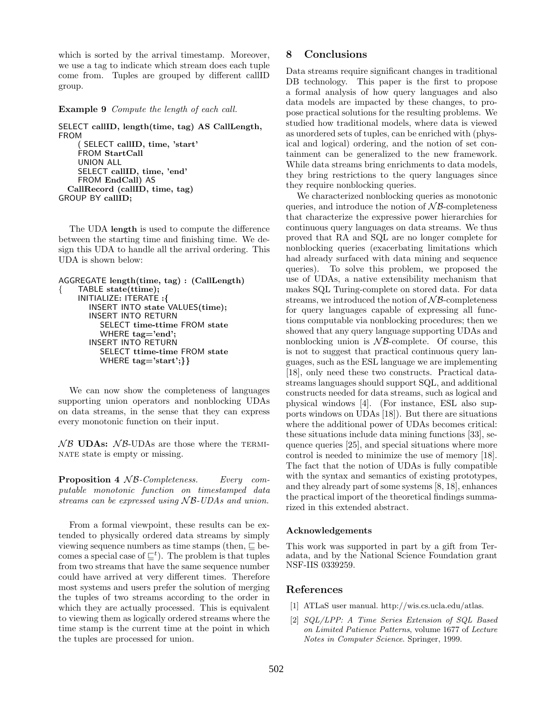which is sorted by the arrival timestamp. Moreover, we use a tag to indicate which stream does each tuple come from. Tuples are grouped by different callID group.

Example 9 Compute the length of each call.

SELECT callID, length(time, tag) AS CallLength, FROM ( SELECT callID, time, 'start'

FROM StartCall UNION ALL SELECT callID, time, 'end' FROM EndCall) AS CallRecord (callID, time, tag) GROUP BY callID;

The UDA length is used to compute the difference between the starting time and finishing time. We design this UDA to handle all the arrival ordering. This UDA is shown below:

```
AGGREGATE length(time, tag) : (CallLength)
{ TABLE state(ttime);
    INITIALIZE: ITERATE :{
      INSERT INTO state VALUES(time);
      INSERT INTO RETURN
         SELECT time-ttime FROM state
         WHERE tag='end;
      INSERT INTO RETURN
         SELECT ttime-time FROM state
         WHERE tag='start';}}
```
We can now show the completeness of languages supporting union operators and nonblocking UDAs on data streams, in the sense that they can express every monotonic function on their input.

 $N\beta$  UDAs:  $N\beta$ -UDAs are those where the TERMI-NATE state is empty or missing.

**Proposition 4** NB-Completeness. Every computable monotonic function on timestamped data streams can be expressed using  $N\mathcal{B}$ -UDAs and union.

From a formal viewpoint, these results can be extended to physically ordered data streams by simply viewing sequence numbers as time stamps (then,  $\sqsubseteq$  becomes a special case of  $\sqsubseteq^t$ ). The problem is that tuples from two streams that have the same sequence number could have arrived at very different times. Therefore most systems and users prefer the solution of merging the tuples of two streams according to the order in which they are actually processed. This is equivalent to viewing them as logically ordered streams where the time stamp is the current time at the point in which the tuples are processed for union.

# 8 Conclusions

Data streams require significant changes in traditional DB technology. This paper is the first to propose a formal analysis of how query languages and also data models are impacted by these changes, to propose practical solutions for the resulting problems. We studied how traditional models, where data is viewed as unordered sets of tuples, can be enriched with (physical and logical) ordering, and the notion of set containment can be generalized to the new framework. While data streams bring enrichments to data models, they bring restrictions to the query languages since they require nonblocking queries.

We characterized nonblocking queries as monotonic queries, and introduce the notion of  $N\mathcal{B}$ -completeness that characterize the expressive power hierarchies for continuous query languages on data streams. We thus proved that RA and SQL are no longer complete for nonblocking queries (exacerbating limitations which had already surfaced with data mining and sequence queries). To solve this problem, we proposed the use of UDAs, a native extensibility mechanism that makes SQL Turing-complete on stored data. For data streams, we introduced the notion of  $N\mathcal{B}$ -completeness for query languages capable of expressing all functions computable via nonblocking procedures; then we showed that any query language supporting UDAs and nonblocking union is  $N\mathcal{B}$ -complete. Of course, this is not to suggest that practical continuous query languages, such as the ESL language we are implementing [18], only need these two constructs. Practical datastreams languages should support SQL, and additional constructs needed for data streams, such as logical and physical windows [4]. (For instance, ESL also supports windows on UDAs [18]). But there are situations where the additional power of UDAs becomes critical: these situations include data mining functions [33], sequence queries [25], and special situations where more control is needed to minimize the use of memory [18]. The fact that the notion of UDAs is fully compatible with the syntax and semantics of existing prototypes, and they already part of some systems [8, 18], enhances the practical import of the theoretical findings summarized in this extended abstract.

#### Acknowledgements

This work was supported in part by a gift from Teradata, and by the National Science Foundation grant NSF-IIS 0339259.

#### References

- [1] ATLaS user manual. http://wis.cs.ucla.edu/atlas.
- [2] SQL/LPP: A Time Series Extension of SQL Based on Limited Patience Patterns, volume 1677 of Lecture Notes in Computer Science. Springer, 1999.